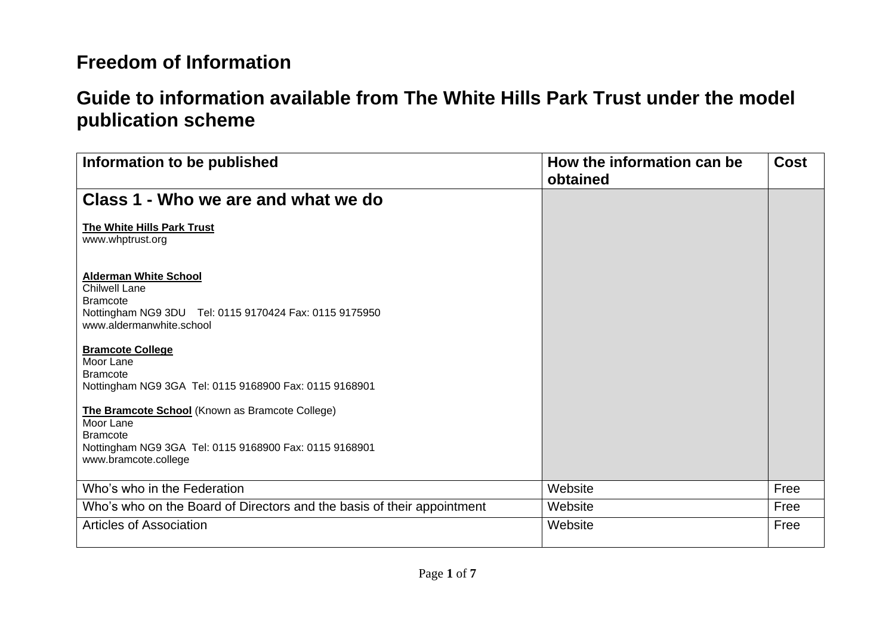| Information to be published                                                                                                                                       | How the information can be<br>obtained | <b>Cost</b> |
|-------------------------------------------------------------------------------------------------------------------------------------------------------------------|----------------------------------------|-------------|
| Class 1 - Who we are and what we do                                                                                                                               |                                        |             |
| The White Hills Park Trust<br>www.whptrust.org                                                                                                                    |                                        |             |
| <b>Alderman White School</b><br><b>Chilwell Lane</b><br><b>Bramcote</b><br>Nottingham NG9 3DU Tel: 0115 9170424 Fax: 0115 9175950<br>www.aldermanwhite.school     |                                        |             |
| <b>Bramcote College</b><br>Moor Lane<br><b>Bramcote</b><br>Nottingham NG9 3GA Tel: 0115 9168900 Fax: 0115 9168901                                                 |                                        |             |
| The Bramcote School (Known as Bramcote College)<br>Moor Lane<br><b>Bramcote</b><br>Nottingham NG9 3GA Tel: 0115 9168900 Fax: 0115 9168901<br>www.bramcote.college |                                        |             |
| Who's who in the Federation                                                                                                                                       | Website                                | Free        |
| Who's who on the Board of Directors and the basis of their appointment                                                                                            | Website                                | Free        |
| <b>Articles of Association</b>                                                                                                                                    | Website                                | Free        |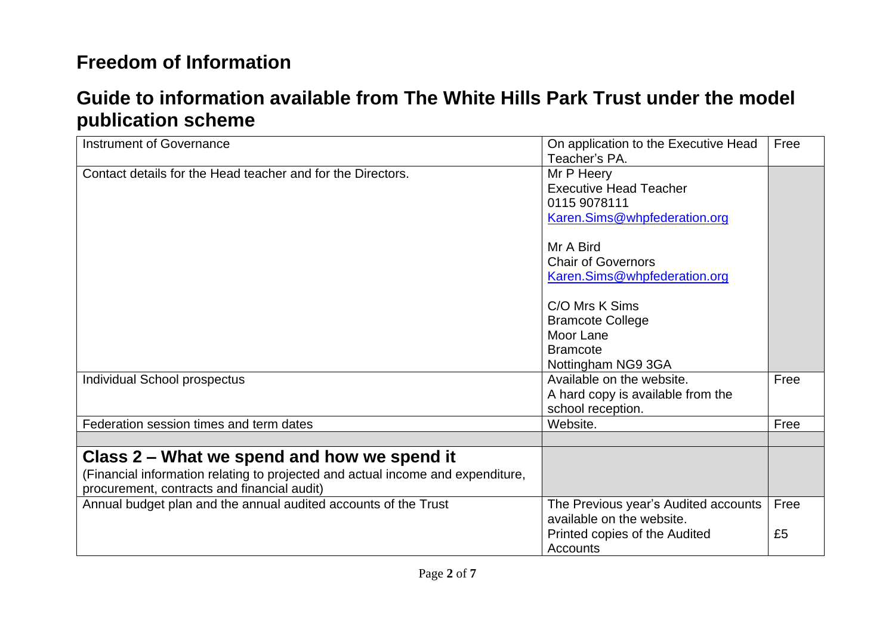| Instrument of Governance                                                                                                                                                      | On application to the Executive Head<br>Teacher's PA.                                                          | Free       |
|-------------------------------------------------------------------------------------------------------------------------------------------------------------------------------|----------------------------------------------------------------------------------------------------------------|------------|
| Contact details for the Head teacher and for the Directors.                                                                                                                   | Mr P Heery<br><b>Executive Head Teacher</b><br>0115 9078111<br>Karen.Sims@whpfederation.org                    |            |
|                                                                                                                                                                               | Mr A Bird<br><b>Chair of Governors</b><br>Karen.Sims@whpfederation.org                                         |            |
|                                                                                                                                                                               | C/O Mrs K Sims<br><b>Bramcote College</b><br>Moor Lane<br><b>Bramcote</b>                                      |            |
| Individual School prospectus                                                                                                                                                  | Nottingham NG9 3GA<br>Available on the website.<br>A hard copy is available from the<br>school reception.      | Free       |
| Federation session times and term dates                                                                                                                                       | Website.                                                                                                       | Free       |
| Class 2 – What we spend and how we spend it<br>(Financial information relating to projected and actual income and expenditure,<br>procurement, contracts and financial audit) |                                                                                                                |            |
| Annual budget plan and the annual audited accounts of the Trust                                                                                                               | The Previous year's Audited accounts<br>available on the website.<br>Printed copies of the Audited<br>Accounts | Free<br>£5 |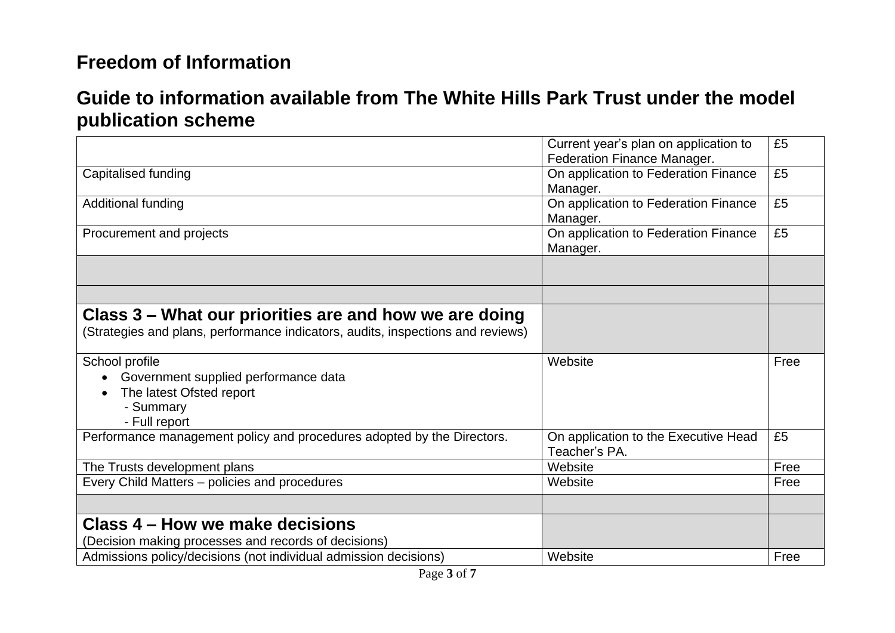|                                                                                                                  | Current year's plan on application to<br>Federation Finance Manager. | £5   |
|------------------------------------------------------------------------------------------------------------------|----------------------------------------------------------------------|------|
| Capitalised funding                                                                                              | On application to Federation Finance<br>Manager.                     | £5   |
| Additional funding                                                                                               | On application to Federation Finance<br>Manager.                     | £5   |
| Procurement and projects                                                                                         | On application to Federation Finance<br>Manager.                     | £5   |
|                                                                                                                  |                                                                      |      |
|                                                                                                                  |                                                                      |      |
| Class 3 – What our priorities are and how we are doing                                                           |                                                                      |      |
| (Strategies and plans, performance indicators, audits, inspections and reviews)                                  |                                                                      |      |
| School profile<br>Government supplied performance data<br>The latest Ofsted report<br>- Summary<br>- Full report | Website                                                              | Free |
| Performance management policy and procedures adopted by the Directors.                                           | On application to the Executive Head<br>Teacher's PA.                | £5   |
| The Trusts development plans                                                                                     | Website                                                              | Free |
| Every Child Matters - policies and procedures                                                                    | Website                                                              | Free |
|                                                                                                                  |                                                                      |      |
| Class 4 – How we make decisions                                                                                  |                                                                      |      |
| (Decision making processes and records of decisions)                                                             |                                                                      |      |
| Admissions policy/decisions (not individual admission decisions)                                                 | Website                                                              | Free |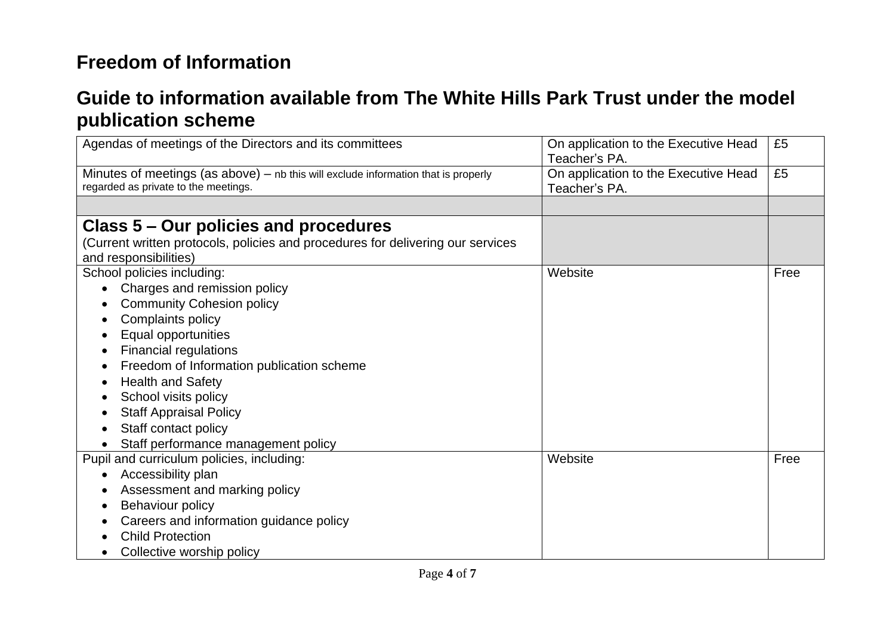| Agendas of meetings of the Directors and its committees                                                                      | On application to the Executive Head<br>Teacher's PA. | £5   |
|------------------------------------------------------------------------------------------------------------------------------|-------------------------------------------------------|------|
| Minutes of meetings (as above) $-$ nb this will exclude information that is properly<br>regarded as private to the meetings. | On application to the Executive Head<br>Teacher's PA. | £5   |
|                                                                                                                              |                                                       |      |
| Class 5 – Our policies and procedures                                                                                        |                                                       |      |
| (Current written protocols, policies and procedures for delivering our services                                              |                                                       |      |
| and responsibilities)                                                                                                        |                                                       |      |
| School policies including:                                                                                                   | Website                                               | Free |
| Charges and remission policy                                                                                                 |                                                       |      |
| <b>Community Cohesion policy</b>                                                                                             |                                                       |      |
| Complaints policy                                                                                                            |                                                       |      |
| Equal opportunities                                                                                                          |                                                       |      |
| <b>Financial regulations</b>                                                                                                 |                                                       |      |
| Freedom of Information publication scheme                                                                                    |                                                       |      |
| <b>Health and Safety</b>                                                                                                     |                                                       |      |
| School visits policy                                                                                                         |                                                       |      |
| <b>Staff Appraisal Policy</b>                                                                                                |                                                       |      |
| Staff contact policy                                                                                                         |                                                       |      |
| Staff performance management policy                                                                                          |                                                       |      |
| Pupil and curriculum policies, including:                                                                                    | Website                                               | Free |
| Accessibility plan                                                                                                           |                                                       |      |
| Assessment and marking policy                                                                                                |                                                       |      |
| Behaviour policy                                                                                                             |                                                       |      |
| Careers and information guidance policy                                                                                      |                                                       |      |
| <b>Child Protection</b>                                                                                                      |                                                       |      |
| Collective worship policy                                                                                                    |                                                       |      |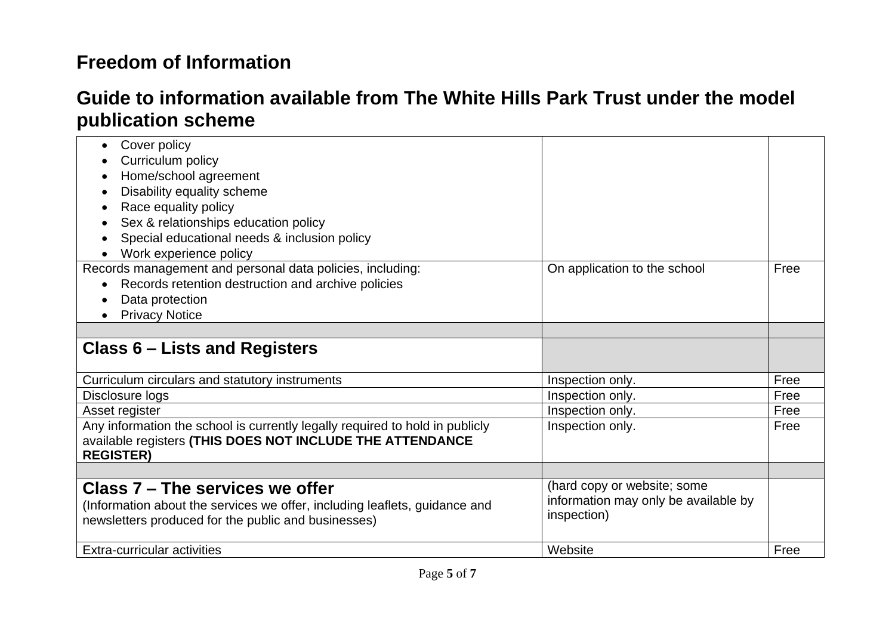| Cover policy                                                                 |                                      |      |
|------------------------------------------------------------------------------|--------------------------------------|------|
| Curriculum policy                                                            |                                      |      |
| Home/school agreement                                                        |                                      |      |
| Disability equality scheme                                                   |                                      |      |
| Race equality policy                                                         |                                      |      |
| Sex & relationships education policy                                         |                                      |      |
| Special educational needs & inclusion policy                                 |                                      |      |
| Work experience policy                                                       |                                      |      |
| Records management and personal data policies, including:                    | On application to the school         | Free |
| Records retention destruction and archive policies<br>$\bullet$              |                                      |      |
| Data protection                                                              |                                      |      |
| <b>Privacy Notice</b>                                                        |                                      |      |
|                                                                              |                                      |      |
| Class 6 – Lists and Registers                                                |                                      |      |
|                                                                              |                                      |      |
| Curriculum circulars and statutory instruments                               | Inspection only.                     | Free |
| Disclosure logs                                                              | Inspection only.                     | Free |
| Asset register                                                               | Inspection only.                     | Free |
| Any information the school is currently legally required to hold in publicly | Inspection only.                     | Free |
| available registers (THIS DOES NOT INCLUDE THE ATTENDANCE                    |                                      |      |
| <b>REGISTER)</b>                                                             |                                      |      |
|                                                                              |                                      |      |
| Class 7 - The services we offer                                              | (hard copy or website; some          |      |
| (Information about the services we offer, including leaflets, guidance and   | information may only be available by |      |
| newsletters produced for the public and businesses)                          | inspection)                          |      |
|                                                                              |                                      |      |
| Extra-curricular activities                                                  | Website                              | Free |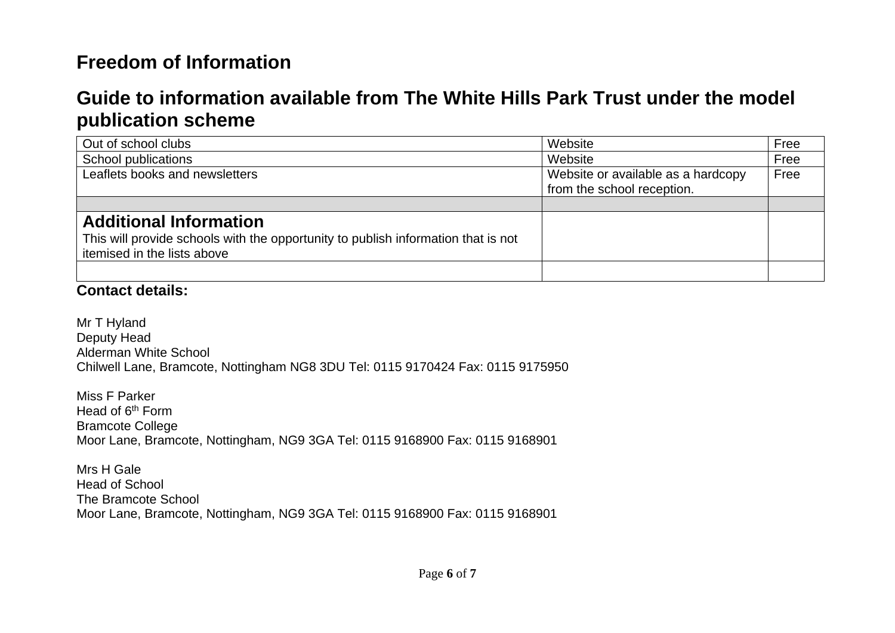## **Guide to information available from The White Hills Park Trust under the model publication scheme**

| Out of school clubs                                                               | Website                            | Free |
|-----------------------------------------------------------------------------------|------------------------------------|------|
| School publications                                                               | Website                            | Free |
| Leaflets books and newsletters                                                    | Website or available as a hardcopy | Free |
|                                                                                   | from the school reception.         |      |
|                                                                                   |                                    |      |
| <b>Additional Information</b>                                                     |                                    |      |
| This will provide schools with the opportunity to publish information that is not |                                    |      |
| itemised in the lists above                                                       |                                    |      |
|                                                                                   |                                    |      |

#### **Contact details:**

Mr T Hyland Deputy Head Alderman White School Chilwell Lane, Bramcote, Nottingham NG8 3DU Tel: 0115 9170424 Fax: 0115 9175950

Miss F Parker Head of 6<sup>th</sup> Form Bramcote College Moor Lane, Bramcote, Nottingham, NG9 3GA Tel: 0115 9168900 Fax: 0115 9168901

Mrs H Gale Head of School The Bramcote School Moor Lane, Bramcote, Nottingham, NG9 3GA Tel: 0115 9168900 Fax: 0115 9168901